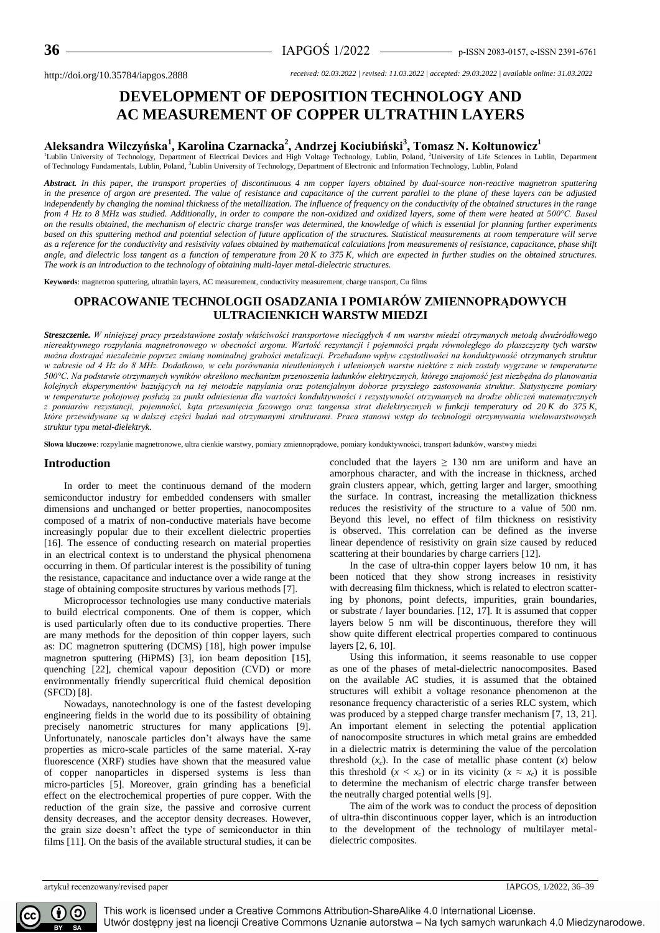# **DEVELOPMENT OF DEPOSITION TECHNOLOGY AND AC MEASUREMENT OF COPPER ULTRATHIN LAYERS**

## **Aleksandra Wilczyńska<sup>1</sup> , Karolina Czarnacka<sup>2</sup> , Andrzej Kociubiński<sup>3</sup> , Tomasz N. Kołtunowicz<sup>1</sup>**

<sup>1</sup>Lublin University of Technology, Department of Electrical Devices and High Voltage Technology, Lublin, Poland, <sup>2</sup>University of Life Sciences in Lublin, Department of Technology Fundamentals, Lublin, Poland, <sup>3</sup>Lublin University of Technology, Department of Electronic and Information Technology, Lublin, Poland

*Abstract. In this paper, the transport properties of discontinuous 4 nm copper layers obtained by dual-source non-reactive magnetron sputtering in the presence of argon are presented. The value of resistance and capacitance of the current parallel to the plane of these layers can be adjusted independently by changing the nominal thickness of the metallization. The influence of frequency on the conductivity of the obtained structures in the range from 4 Hz to 8 MHz was studied. Additionally, in order to compare the non-oxidized and oxidized layers, some of them were heated at 500°C. Based on the results obtained, the mechanism of electric charge transfer was determined, the knowledge of which is essential for planning further experiments based on this sputtering method and potential selection of future application of the structures. Statistical measurements at room temperature will serve as a reference for the conductivity and resistivity values obtained by mathematical calculations from measurements of resistance, capacitance, phase shift angle, and dielectric loss tangent as a function of temperature from 20 K to 375 K, which are expected in further studies on the obtained structures. The work is an introduction to the technology of obtaining multi-layer metal-dielectric structures.*

**Keywords**: magnetron sputtering, ultrathin layers, AC measurement, conductivity measurement, charge transport, Cu films

### **OPRACOWANIE TECHNOLOGII OSADZANIA I POMIARÓW ZMIENNOPRĄDOWYCH ULTRACIENKICH WARSTW MIEDZI**

*Streszczenie. W niniejszej pracy przedstawione zostały właściwości transportowe nieciągłych 4 nm warstw miedzi otrzymanych metodą dwuźródłowego niereaktywnego rozpylania magnetronowego w obecności argonu. Wartość rezystancji i pojemności prądu równoległego do płaszczyzny tych warstw można dostrajać niezależnie poprzez zmianę nominalnej grubości metalizacji. Przebadano wpływ częstotliwości na konduktywność otrzymanych struktur w zakresie od 4 Hz do 8 MHz. Dodatkowo, w celu porównania nieutlenionych i utlenionych warstw niektóre z nich zostały wygrzane w temperaturze 500°C. Na podstawie otrzymanych wyników określono mechanizm przenoszenia ładunków elektrycznych, którego znajomość jest niezbędna do planowania kolejnych eksperymentów bazujących na tej metodzie napylania oraz potencjalnym doborze przyszłego zastosowania struktur. Statystyczne pomiary w temperaturze pokojowej posłużą za punkt odniesienia dla wartości konduktywności i rezystywności otrzymanych na drodze obliczeń matematycznych z pomiarów rezystancji, pojemności, kąta przesunięcia fazowego oraz tangensa strat dielektrycznych w funkcji temperatury od 20 K do 375 K, które przewidywane są w dalszej części badań nad otrzymanymi strukturami. Praca stanowi wstęp do technologii otrzymywania wielowarstwowych struktur typu metal-dielektryk.* 

**Słowa kluczowe**: rozpylanie magnetronowe, ultra cienkie warstwy, pomiary zmiennoprądowe, pomiary konduktywności, transport ładunków, warstwy miedzi

#### **Introduction**

In order to meet the continuous demand of the modern semiconductor industry for embedded condensers with smaller dimensions and unchanged or better properties, nanocomposites composed of a matrix of non-conductive materials have become increasingly popular due to their excellent dielectric properties [16]. The essence of conducting research on material properties in an electrical context is to understand the physical phenomena occurring in them. Of particular interest is the possibility of tuning the resistance, capacitance and inductance over a wide range at the stage of obtaining composite structures by various methods [7].

Microprocessor technologies use many conductive materials to build electrical components. One of them is copper, which is used particularly often due to its conductive properties. There are many methods for the deposition of thin copper layers, such as: DC magnetron sputtering (DCMS) [18], high power impulse magnetron sputtering (HiPMS) [3], ion beam deposition [15], quenching [22], chemical vapour deposition (CVD) or more environmentally friendly supercritical fluid chemical deposition (SFCD) [8].

Nowadays, nanotechnology is one of the fastest developing engineering fields in the world due to its possibility of obtaining precisely nanometric structures for many applications [9]. Unfortunately, nanoscale particles don't always have the same properties as micro-scale particles of the same material. X-ray fluorescence (XRF) studies have shown that the measured value of copper nanoparticles in dispersed systems is less than micro-particles [5]. Moreover, grain grinding has a beneficial effect on the electrochemical properties of pure copper. With the reduction of the grain size, the passive and corrosive current density decreases, and the acceptor density decreases. However, the grain size doesn't affect the type of semiconductor in thin films [11]. On the basis of the available structural studies, it can be concluded that the layers  $\geq 130$  nm are uniform and have an amorphous character, and with the increase in thickness, arched grain clusters appear, which, getting larger and larger, smoothing the surface. In contrast, increasing the metallization thickness reduces the resistivity of the structure to a value of 500 nm. Beyond this level, no effect of film thickness on resistivity is observed. This correlation can be defined as the inverse linear dependence of resistivity on grain size caused by reduced scattering at their boundaries by charge carriers [12].

In the case of ultra-thin copper layers below 10 nm, it has been noticed that they show strong increases in resistivity with decreasing film thickness, which is related to electron scattering by phonons, point defects, impurities, grain boundaries, or substrate / layer boundaries. [12, 17]. It is assumed that copper layers below 5 nm will be discontinuous, therefore they will show quite different electrical properties compared to continuous layers [2, 6, 10].

Using this information, it seems reasonable to use copper as one of the phases of metal-dielectric nanocomposites. Based on the available AC studies, it is assumed that the obtained structures will exhibit a voltage resonance phenomenon at the resonance frequency characteristic of a series RLC system, which was produced by a stepped charge transfer mechanism [7, 13, 21]. An important element in selecting the potential application of nanocomposite structures in which metal grains are embedded in a dielectric matrix is determining the value of the percolation threshold  $(x_c)$ . In the case of metallic phase content  $(x)$  below this threshold  $(x < x_c)$  or in its vicinity  $(x \approx x_c)$  it is possible to determine the mechanism of electric charge transfer between the neutrally charged potential wells [9].

The aim of the work was to conduct the process of deposition of ultra-thin discontinuous copper layer, which is an introduction to the development of the technology of multilayer metaldielectric composites.

artykuł recenzowany/revised paper IAPGOS, 1/2022, 36–39

 $\odot$  $(i)$ СC

This work is licensed under a Creative Commons Attribution-ShareAlike 4.0 International License. Utwór dostępny jest na licencji Creative Commons Uznanie autorstwa – Na tych samych warunkach 4.0 Miedzynarodowe.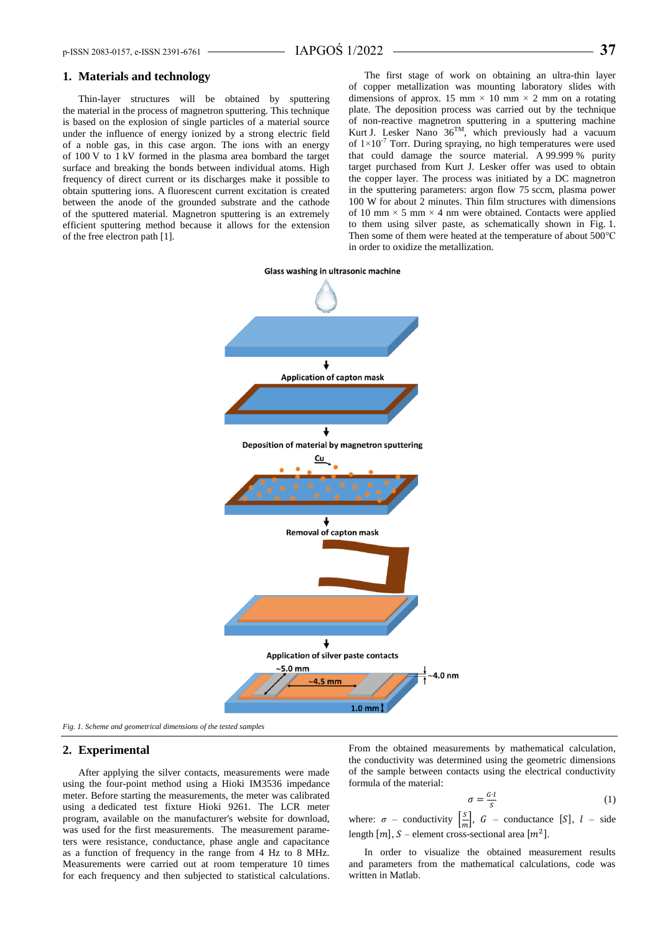#### **1. Materials and technology**

Thin-layer structures will be obtained by sputtering the material in the process of magnetron sputtering. This technique is based on the explosion of single particles of a material source under the influence of energy ionized by a strong electric field of a noble gas, in this case argon. The ions with an energy of 100 V to 1 kV formed in the plasma area bombard the target surface and breaking the bonds between individual atoms. High frequency of direct current or its discharges make it possible to obtain sputtering ions. A fluorescent current excitation is created between the anode of the grounded substrate and the cathode of the sputtered material. Magnetron sputtering is an extremely efficient sputtering method because it allows for the extension of the free electron path [1].

The first stage of work on obtaining an ultra-thin layer of copper metallization was mounting laboratory slides with dimensions of approx. 15 mm  $\times$  10 mm  $\times$  2 mm on a rotating plate. The deposition process was carried out by the technique of non-reactive magnetron sputtering in a sputtering machine Kurt J. Lesker Nano  $36^{TM}$ , which previously had a vacuum of  $1 \times 10^{-7}$  Torr. During spraying, no high temperatures were used that could damage the source material. A 99.999 % purity target purchased from Kurt J. Lesker offer was used to obtain the copper layer. The process was initiated by a DC magnetron in the sputtering parameters: argon flow 75 sccm, plasma power 100 W for about 2 minutes. Thin film structures with dimensions of 10 mm  $\times$  5 mm  $\times$  4 nm were obtained. Contacts were applied to them using silver paste, as schematically shown in Fig. 1. Then some of them were heated at the temperature of about 500°C in order to oxidize the metallization.



*Fig. 1. Scheme and geometrical dimensions of the tested samples*

### **2. Experimental**

After applying the silver contacts, measurements were made using the four-point method using a Hioki IM3536 impedance meter. Before starting the measurements, the meter was calibrated using a dedicated test fixture Hioki 9261. The LCR meter program, available on the manufacturer's website for download, was used for the first measurements. The measurement parameters were resistance, conductance, phase angle and capacitance as a function of frequency in the range from 4 Hz to 8 MHz. Measurements were carried out at room temperature 10 times for each frequency and then subjected to statistical calculations. From the obtained measurements by mathematical calculation, the conductivity was determined using the geometric dimensions of the sample between contacts using the electrical conductivity formula of the material:

$$
\sigma = \frac{G \cdot l}{S} \tag{1}
$$

where:  $\sigma$  – conductivity  $\left[\frac{s}{m}\right]$  $\frac{S}{m}$ , *G* – conductance [*S*], *l* – side length  $[m]$ , S – element cross-sectional area  $[m^2]$ .

In order to visualize the obtained measurement results and parameters from the mathematical calculations, code was written in Matlab.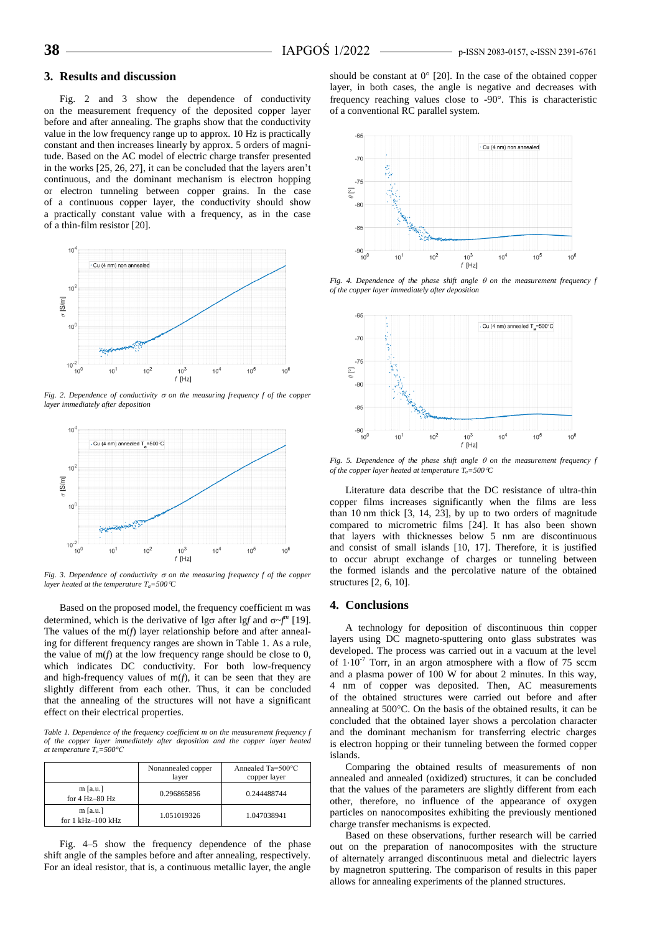#### **3. Results and discussion**

Fig. 2 and 3 show the dependence of conductivity on the measurement frequency of the deposited copper layer before and after annealing. The graphs show that the conductivity value in the low frequency range up to approx. 10 Hz is practically constant and then increases linearly by approx. 5 orders of magnitude. Based on the AC model of electric charge transfer presented in the works [25, 26, 27], it can be concluded that the layers aren't continuous, and the dominant mechanism is electron hopping or electron tunneling between copper grains. In the case of a continuous copper layer, the conductivity should show a practically constant value with a frequency, as in the case of a thin-film resistor [20].



*Fig. 2. Dependence of conductivity*  $\sigma$  *on the measuring frequency f of the copper layer immediately after deposition*



*Fig. 3. Dependence of conductivity*  $\sigma$  *on the measuring frequency f of the copper layer heated at the temperature Ta=500C*

Based on the proposed model, the frequency coefficient m was determined, which is the derivative of  $\log \sigma$  after  $\log f$  and  $\sigma f''$  [19]. The values of the m(*f*) layer relationship before and after annealing for different frequency ranges are shown in Table 1. As a rule, the value of m(*f*) at the low frequency range should be close to 0, which indicates DC conductivity. For both low-frequency and high-frequency values of  $m(f)$ , it can be seen that they are slightly different from each other. Thus, it can be concluded that the annealing of the structures will not have a significant effect on their electrical properties.

*Table 1. Dependence of the frequency coefficient m on the measurement frequency f of the copper layer immediately after deposition and the copper layer heated at temperature Ta=500°C*

|                                      | Nonannealed copper<br>layer | Annealed Ta=500°C<br>copper layer |
|--------------------------------------|-----------------------------|-----------------------------------|
| $m$ [a.u.]<br>for $4$ Hz $-80$ Hz    | 0.296865856                 | 0.244488744                       |
| $m$ [a.u.]<br>for $1$ kHz $-100$ kHz | 1.051019326                 | 1.047038941                       |

Fig. 4–5 show the frequency dependence of the phase shift angle of the samples before and after annealing, respectively. For an ideal resistor, that is, a continuous metallic layer, the angle

should be constant at  $0^{\circ}$  [20]. In the case of the obtained copper layer, in both cases, the angle is negative and decreases with frequency reaching values close to -90°. This is characteristic of a conventional RC parallel system.



*Fig. 4. Dependence of the phase shift angle*  $\theta$  *on the measurement frequency f of the copper layer immediately after deposition*



*Fig. 5. Dependence of the phase shift angle on the measurement frequency f of the copper layer heated at temperature*  $T_a = 500 \text{ °C}$ 

Literature data describe that the DC resistance of ultra-thin copper films increases significantly when the films are less than 10 nm thick [3, 14, 23], by up to two orders of magnitude compared to micrometric films [24]. It has also been shown that layers with thicknesses below 5 nm are discontinuous and consist of small islands [10, 17]. Therefore, it is justified to occur abrupt exchange of charges or tunneling between the formed islands and the percolative nature of the obtained structures [2, 6, 10].

#### **4. Conclusions**

A technology for deposition of discontinuous thin copper layers using DC magneto-sputtering onto glass substrates was developed. The process was carried out in a vacuum at the level of  $1 \cdot 10^{-7}$  Torr, in an argon atmosphere with a flow of 75 sccm and a plasma power of 100 W for about 2 minutes. In this way, 4 nm of copper was deposited. Then, AC measurements of the obtained structures were carried out before and after annealing at 500°C. On the basis of the obtained results, it can be concluded that the obtained layer shows a percolation character and the dominant mechanism for transferring electric charges is electron hopping or their tunneling between the formed copper islands.

Comparing the obtained results of measurements of non annealed and annealed (oxidized) structures, it can be concluded that the values of the parameters are slightly different from each other, therefore, no influence of the appearance of oxygen particles on nanocomposites exhibiting the previously mentioned charge transfer mechanisms is expected.

Based on these observations, further research will be carried out on the preparation of nanocomposites with the structure of alternately arranged discontinuous metal and dielectric layers by magnetron sputtering. The comparison of results in this paper allows for annealing experiments of the planned structures.